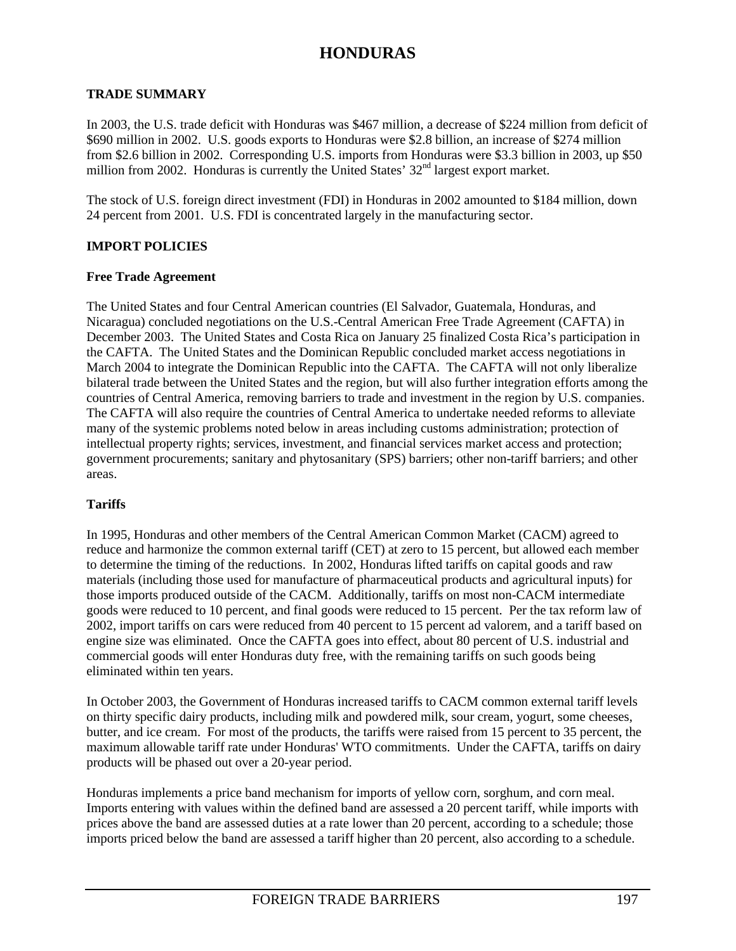#### **TRADE SUMMARY**

In 2003, the U.S. trade deficit with Honduras was \$467 million, a decrease of \$224 million from deficit of \$690 million in 2002. U.S. goods exports to Honduras were \$2.8 billion, an increase of \$274 million from \$2.6 billion in 2002. Corresponding U.S. imports from Honduras were \$3.3 billion in 2003, up \$50 million from 2002. Honduras is currently the United States'  $32<sup>nd</sup>$  largest export market.

The stock of U.S. foreign direct investment (FDI) in Honduras in 2002 amounted to \$184 million, down 24 percent from 2001. U.S. FDI is concentrated largely in the manufacturing sector.

#### **IMPORT POLICIES**

#### **Free Trade Agreement**

The United States and four Central American countries (El Salvador, Guatemala, Honduras, and Nicaragua) concluded negotiations on the U.S.-Central American Free Trade Agreement (CAFTA) in December 2003. The United States and Costa Rica on January 25 finalized Costa Rica's participation in the CAFTA. The United States and the Dominican Republic concluded market access negotiations in March 2004 to integrate the Dominican Republic into the CAFTA. The CAFTA will not only liberalize bilateral trade between the United States and the region, but will also further integration efforts among the countries of Central America, removing barriers to trade and investment in the region by U.S. companies. The CAFTA will also require the countries of Central America to undertake needed reforms to alleviate many of the systemic problems noted below in areas including customs administration; protection of intellectual property rights; services, investment, and financial services market access and protection; government procurements; sanitary and phytosanitary (SPS) barriers; other non-tariff barriers; and other areas.

#### **Tariffs**

In 1995, Honduras and other members of the Central American Common Market (CACM) agreed to reduce and harmonize the common external tariff (CET) at zero to 15 percent, but allowed each member to determine the timing of the reductions. In 2002, Honduras lifted tariffs on capital goods and raw materials (including those used for manufacture of pharmaceutical products and agricultural inputs) for those imports produced outside of the CACM. Additionally, tariffs on most non-CACM intermediate goods were reduced to 10 percent, and final goods were reduced to 15 percent. Per the tax reform law of 2002, import tariffs on cars were reduced from 40 percent to 15 percent ad valorem, and a tariff based on engine size was eliminated. Once the CAFTA goes into effect, about 80 percent of U.S. industrial and commercial goods will enter Honduras duty free, with the remaining tariffs on such goods being eliminated within ten years.

In October 2003, the Government of Honduras increased tariffs to CACM common external tariff levels on thirty specific dairy products, including milk and powdered milk, sour cream, yogurt, some cheeses, butter, and ice cream. For most of the products, the tariffs were raised from 15 percent to 35 percent, the maximum allowable tariff rate under Honduras' WTO commitments. Under the CAFTA, tariffs on dairy products will be phased out over a 20-year period.

Honduras implements a price band mechanism for imports of yellow corn, sorghum, and corn meal. Imports entering with values within the defined band are assessed a 20 percent tariff, while imports with prices above the band are assessed duties at a rate lower than 20 percent, according to a schedule; those imports priced below the band are assessed a tariff higher than 20 percent, also according to a schedule.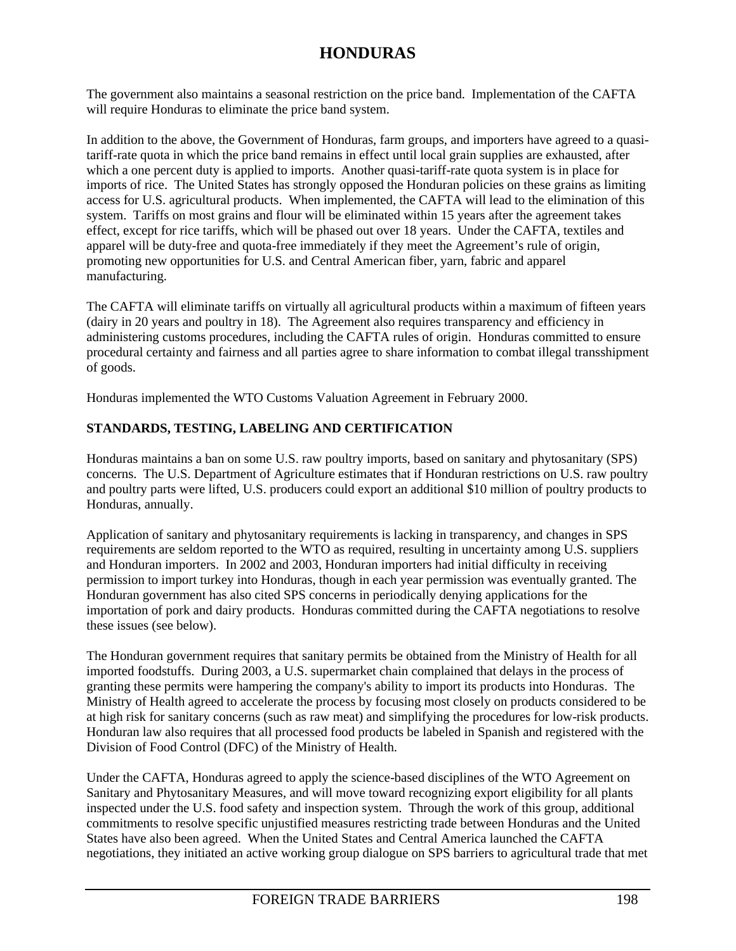The government also maintains a seasonal restriction on the price band. Implementation of the CAFTA will require Honduras to eliminate the price band system.

In addition to the above, the Government of Honduras, farm groups, and importers have agreed to a quasitariff-rate quota in which the price band remains in effect until local grain supplies are exhausted, after which a one percent duty is applied to imports. Another quasi-tariff-rate quota system is in place for imports of rice. The United States has strongly opposed the Honduran policies on these grains as limiting access for U.S. agricultural products. When implemented, the CAFTA will lead to the elimination of this system. Tariffs on most grains and flour will be eliminated within 15 years after the agreement takes effect, except for rice tariffs, which will be phased out over 18 years. Under the CAFTA, textiles and apparel will be duty-free and quota-free immediately if they meet the Agreement's rule of origin, promoting new opportunities for U.S. and Central American fiber, yarn, fabric and apparel manufacturing.

The CAFTA will eliminate tariffs on virtually all agricultural products within a maximum of fifteen years (dairy in 20 years and poultry in 18). The Agreement also requires transparency and efficiency in administering customs procedures, including the CAFTA rules of origin. Honduras committed to ensure procedural certainty and fairness and all parties agree to share information to combat illegal transshipment of goods.

Honduras implemented the WTO Customs Valuation Agreement in February 2000.

## **STANDARDS, TESTING, LABELING AND CERTIFICATION**

Honduras maintains a ban on some U.S. raw poultry imports, based on sanitary and phytosanitary (SPS) concerns. The U.S. Department of Agriculture estimates that if Honduran restrictions on U.S. raw poultry and poultry parts were lifted, U.S. producers could export an additional \$10 million of poultry products to Honduras, annually.

Application of sanitary and phytosanitary requirements is lacking in transparency, and changes in SPS requirements are seldom reported to the WTO as required, resulting in uncertainty among U.S. suppliers and Honduran importers. In 2002 and 2003, Honduran importers had initial difficulty in receiving permission to import turkey into Honduras, though in each year permission was eventually granted. The Honduran government has also cited SPS concerns in periodically denying applications for the importation of pork and dairy products. Honduras committed during the CAFTA negotiations to resolve these issues (see below).

The Honduran government requires that sanitary permits be obtained from the Ministry of Health for all imported foodstuffs. During 2003, a U.S. supermarket chain complained that delays in the process of granting these permits were hampering the company's ability to import its products into Honduras. The Ministry of Health agreed to accelerate the process by focusing most closely on products considered to be at high risk for sanitary concerns (such as raw meat) and simplifying the procedures for low-risk products. Honduran law also requires that all processed food products be labeled in Spanish and registered with the Division of Food Control (DFC) of the Ministry of Health.

Under the CAFTA, Honduras agreed to apply the science-based disciplines of the WTO Agreement on Sanitary and Phytosanitary Measures, and will move toward recognizing export eligibility for all plants inspected under the U.S. food safety and inspection system. Through the work of this group, additional commitments to resolve specific unjustified measures restricting trade between Honduras and the United States have also been agreed. When the United States and Central America launched the CAFTA negotiations, they initiated an active working group dialogue on SPS barriers to agricultural trade that met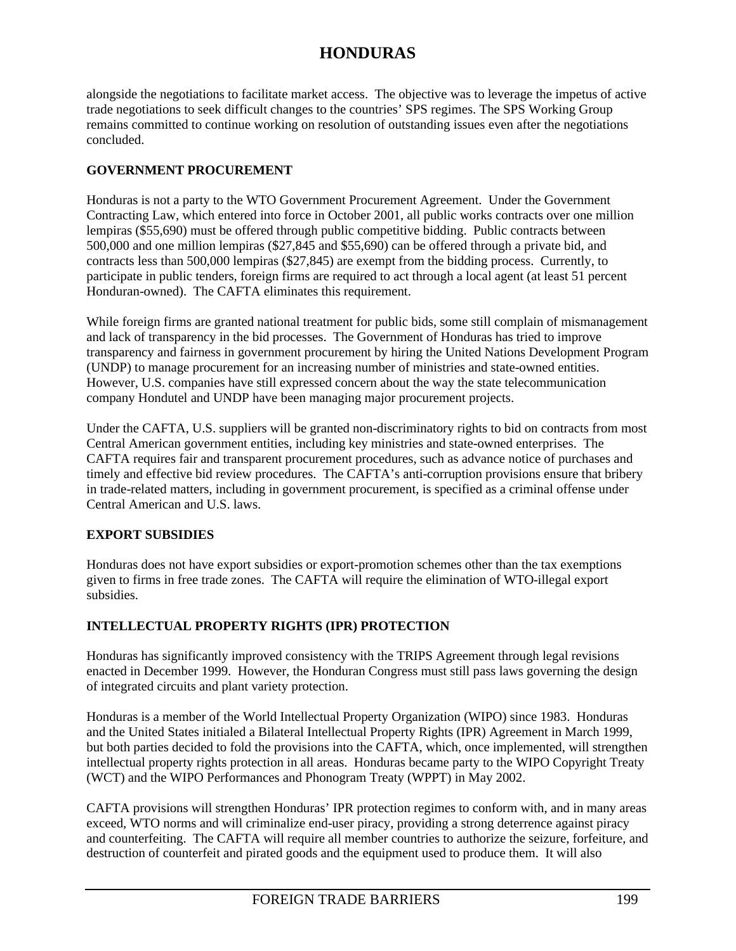alongside the negotiations to facilitate market access. The objective was to leverage the impetus of active trade negotiations to seek difficult changes to the countries' SPS regimes. The SPS Working Group remains committed to continue working on resolution of outstanding issues even after the negotiations concluded.

### **GOVERNMENT PROCUREMENT**

Honduras is not a party to the WTO Government Procurement Agreement. Under the Government Contracting Law, which entered into force in October 2001, all public works contracts over one million lempiras (\$55,690) must be offered through public competitive bidding. Public contracts between 500,000 and one million lempiras (\$27,845 and \$55,690) can be offered through a private bid, and contracts less than 500,000 lempiras (\$27,845) are exempt from the bidding process. Currently, to participate in public tenders, foreign firms are required to act through a local agent (at least 51 percent Honduran-owned). The CAFTA eliminates this requirement.

While foreign firms are granted national treatment for public bids, some still complain of mismanagement and lack of transparency in the bid processes. The Government of Honduras has tried to improve transparency and fairness in government procurement by hiring the United Nations Development Program (UNDP) to manage procurement for an increasing number of ministries and state-owned entities. However, U.S. companies have still expressed concern about the way the state telecommunication company Hondutel and UNDP have been managing major procurement projects.

Under the CAFTA, U.S. suppliers will be granted non-discriminatory rights to bid on contracts from most Central American government entities, including key ministries and state-owned enterprises. The CAFTA requires fair and transparent procurement procedures, such as advance notice of purchases and timely and effective bid review procedures. The CAFTA's anti-corruption provisions ensure that bribery in trade-related matters, including in government procurement, is specified as a criminal offense under Central American and U.S. laws.

## **EXPORT SUBSIDIES**

Honduras does not have export subsidies or export-promotion schemes other than the tax exemptions given to firms in free trade zones. The CAFTA will require the elimination of WTO-illegal export subsidies.

## **INTELLECTUAL PROPERTY RIGHTS (IPR) PROTECTION**

Honduras has significantly improved consistency with the TRIPS Agreement through legal revisions enacted in December 1999. However, the Honduran Congress must still pass laws governing the design of integrated circuits and plant variety protection.

Honduras is a member of the World Intellectual Property Organization (WIPO) since 1983. Honduras and the United States initialed a Bilateral Intellectual Property Rights (IPR) Agreement in March 1999, but both parties decided to fold the provisions into the CAFTA, which, once implemented, will strengthen intellectual property rights protection in all areas. Honduras became party to the WIPO Copyright Treaty (WCT) and the WIPO Performances and Phonogram Treaty (WPPT) in May 2002.

CAFTA provisions will strengthen Honduras' IPR protection regimes to conform with, and in many areas exceed, WTO norms and will criminalize end-user piracy, providing a strong deterrence against piracy and counterfeiting. The CAFTA will require all member countries to authorize the seizure, forfeiture, and destruction of counterfeit and pirated goods and the equipment used to produce them. It will also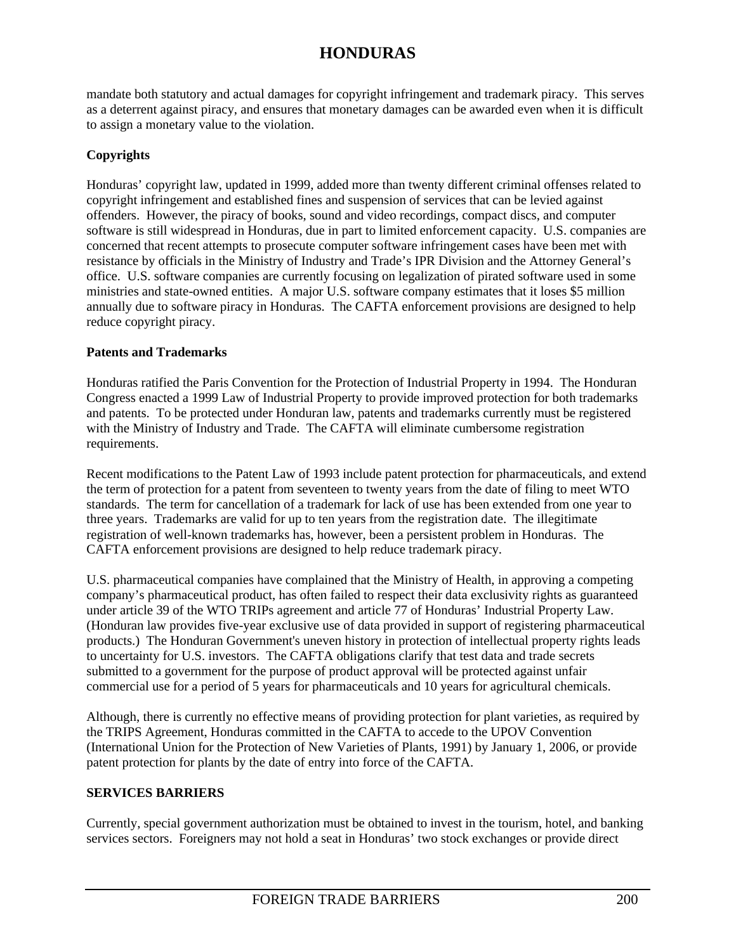mandate both statutory and actual damages for copyright infringement and trademark piracy. This serves as a deterrent against piracy, and ensures that monetary damages can be awarded even when it is difficult to assign a monetary value to the violation.

## **Copyrights**

Honduras' copyright law, updated in 1999, added more than twenty different criminal offenses related to copyright infringement and established fines and suspension of services that can be levied against offenders. However, the piracy of books, sound and video recordings, compact discs, and computer software is still widespread in Honduras, due in part to limited enforcement capacity. U.S. companies are concerned that recent attempts to prosecute computer software infringement cases have been met with resistance by officials in the Ministry of Industry and Trade's IPR Division and the Attorney General's office. U.S. software companies are currently focusing on legalization of pirated software used in some ministries and state-owned entities. A major U.S. software company estimates that it loses \$5 million annually due to software piracy in Honduras. The CAFTA enforcement provisions are designed to help reduce copyright piracy.

### **Patents and Trademarks**

Honduras ratified the Paris Convention for the Protection of Industrial Property in 1994. The Honduran Congress enacted a 1999 Law of Industrial Property to provide improved protection for both trademarks and patents. To be protected under Honduran law, patents and trademarks currently must be registered with the Ministry of Industry and Trade. The CAFTA will eliminate cumbersome registration requirements.

Recent modifications to the Patent Law of 1993 include patent protection for pharmaceuticals, and extend the term of protection for a patent from seventeen to twenty years from the date of filing to meet WTO standards. The term for cancellation of a trademark for lack of use has been extended from one year to three years. Trademarks are valid for up to ten years from the registration date. The illegitimate registration of well-known trademarks has, however, been a persistent problem in Honduras. The CAFTA enforcement provisions are designed to help reduce trademark piracy.

U.S. pharmaceutical companies have complained that the Ministry of Health, in approving a competing company's pharmaceutical product, has often failed to respect their data exclusivity rights as guaranteed under article 39 of the WTO TRIPs agreement and article 77 of Honduras' Industrial Property Law. (Honduran law provides five-year exclusive use of data provided in support of registering pharmaceutical products.) The Honduran Government's uneven history in protection of intellectual property rights leads to uncertainty for U.S. investors. The CAFTA obligations clarify that test data and trade secrets submitted to a government for the purpose of product approval will be protected against unfair commercial use for a period of 5 years for pharmaceuticals and 10 years for agricultural chemicals.

Although, there is currently no effective means of providing protection for plant varieties, as required by the TRIPS Agreement, Honduras committed in the CAFTA to accede to the UPOV Convention (International Union for the Protection of New Varieties of Plants, 1991) by January 1, 2006, or provide patent protection for plants by the date of entry into force of the CAFTA.

## **SERVICES BARRIERS**

Currently, special government authorization must be obtained to invest in the tourism, hotel, and banking services sectors. Foreigners may not hold a seat in Honduras' two stock exchanges or provide direct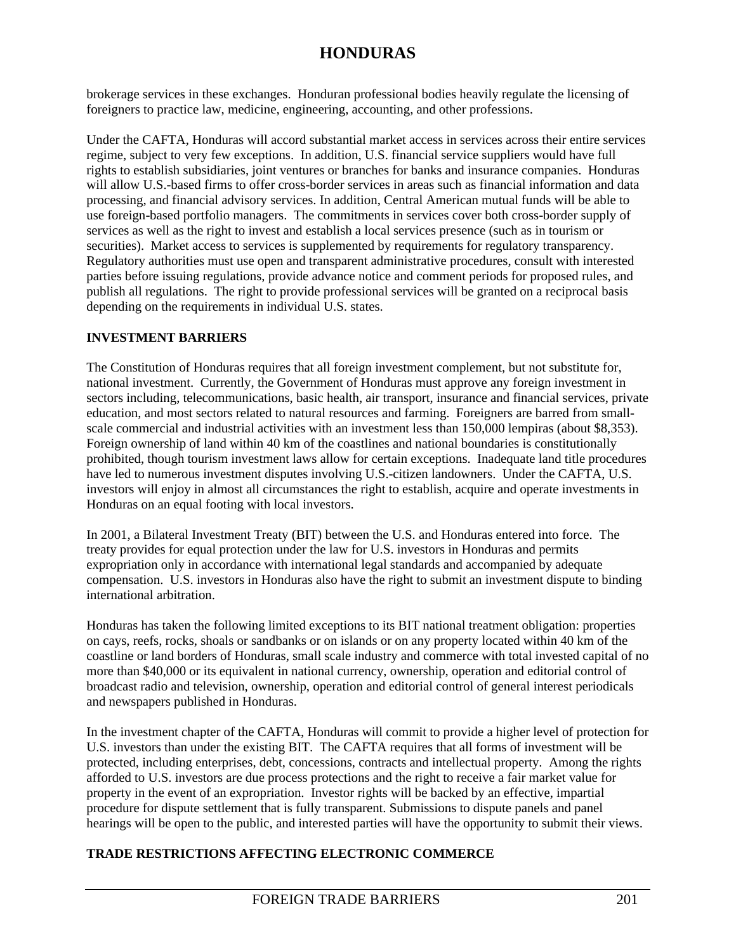brokerage services in these exchanges. Honduran professional bodies heavily regulate the licensing of foreigners to practice law, medicine, engineering, accounting, and other professions.

Under the CAFTA, Honduras will accord substantial market access in services across their entire services regime, subject to very few exceptions. In addition, U.S. financial service suppliers would have full rights to establish subsidiaries, joint ventures or branches for banks and insurance companies. Honduras will allow U.S.-based firms to offer cross-border services in areas such as financial information and data processing, and financial advisory services. In addition, Central American mutual funds will be able to use foreign-based portfolio managers. The commitments in services cover both cross-border supply of services as well as the right to invest and establish a local services presence (such as in tourism or securities). Market access to services is supplemented by requirements for regulatory transparency. Regulatory authorities must use open and transparent administrative procedures, consult with interested parties before issuing regulations, provide advance notice and comment periods for proposed rules, and publish all regulations. The right to provide professional services will be granted on a reciprocal basis depending on the requirements in individual U.S. states.

### **INVESTMENT BARRIERS**

The Constitution of Honduras requires that all foreign investment complement, but not substitute for, national investment. Currently, the Government of Honduras must approve any foreign investment in sectors including, telecommunications, basic health, air transport, insurance and financial services, private education, and most sectors related to natural resources and farming. Foreigners are barred from smallscale commercial and industrial activities with an investment less than 150,000 lempiras (about \$8,353). Foreign ownership of land within 40 km of the coastlines and national boundaries is constitutionally prohibited, though tourism investment laws allow for certain exceptions. Inadequate land title procedures have led to numerous investment disputes involving U.S.-citizen landowners. Under the CAFTA, U.S. investors will enjoy in almost all circumstances the right to establish, acquire and operate investments in Honduras on an equal footing with local investors.

In 2001, a Bilateral Investment Treaty (BIT) between the U.S. and Honduras entered into force. The treaty provides for equal protection under the law for U.S. investors in Honduras and permits expropriation only in accordance with international legal standards and accompanied by adequate compensation. U.S. investors in Honduras also have the right to submit an investment dispute to binding international arbitration.

Honduras has taken the following limited exceptions to its BIT national treatment obligation: properties on cays, reefs, rocks, shoals or sandbanks or on islands or on any property located within 40 km of the coastline or land borders of Honduras, small scale industry and commerce with total invested capital of no more than \$40,000 or its equivalent in national currency, ownership, operation and editorial control of broadcast radio and television, ownership, operation and editorial control of general interest periodicals and newspapers published in Honduras.

In the investment chapter of the CAFTA, Honduras will commit to provide a higher level of protection for U.S. investors than under the existing BIT. The CAFTA requires that all forms of investment will be protected, including enterprises, debt, concessions, contracts and intellectual property. Among the rights afforded to U.S. investors are due process protections and the right to receive a fair market value for property in the event of an expropriation. Investor rights will be backed by an effective, impartial procedure for dispute settlement that is fully transparent. Submissions to dispute panels and panel hearings will be open to the public, and interested parties will have the opportunity to submit their views.

## **TRADE RESTRICTIONS AFFECTING ELECTRONIC COMMERCE**